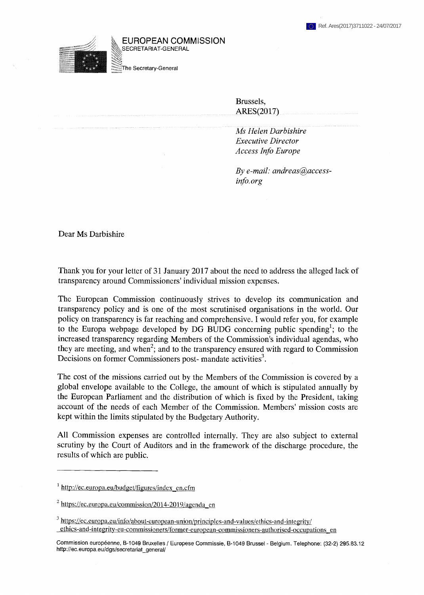

EUROPEAN COMMISSION ^SECRETARIAT-GENERAL

The Secretary-General

Brussels, ARES(2017)

*Ms Helen Darbishire Executive Director Access Info Europe*

*By e-mail: [andreas@access](mailto:andreas@access-info.org)[info.org](mailto:andreas@access-info.org)*

Dear Ms Darbishire

Thank you for your letter of 31 January 2017 about the need to address the alleged lack of transparency around Commissioners' individual mission expenses.

The European Commission continuously strives to develop its communication and transparency policy and is one of the most scrutinised organisations in the world. Our policy on transparency is far reaching and comprehensive. I would refer you, for example to the Europa webpage developed by DG BUDG concerning public spending<sup>1</sup>; to the increased transparency regarding Members of the Commission's individual agendas, who they are meeting, and when<sup>2</sup>; and to the transparency ensured with regard to Commission Decisions on former Commissioners post-mandate activities<sup>3</sup>.

The cost of the missions carried out by the Members of the Commission is covered by a global envelope available to the College, the amount of which is stipulated annually by the European Parliament and the distribution of which is fixed by the President, taking account of the needs of each Member of the Commission. Members' mission costs are kept within the limits stipulated by the Budgetary Authority.

All Commission expenses are controlled internally. They are also subject to external scrutiny by the Court of Auditors and in the framework of the discharge procedure, the results of which are public.

<sup>1</sup> [http://ec.europa.eu/budget/figures/index](http://ec.europa.eu/budget/figures/index_en.cfm) en.cfm

 $^{2}$  [https://ec.europa.eu/commission/2014-2019/agenda\\_en](https://ec.europa.eu/commission/2014-2019/agenda_en)

<sup>&</sup>lt;sup>3</sup> https://ec.europa.eu/info/about-european-union/principles-and-values/ethics-and-integrity/ ethics-and-integritv-eu-commissioners/former-european-commissioners-authorised-occupations en

Commission européenne, B-1049 Bruxelles / Europese Commissie, B-1049 Brussel - Belgium. Telephone: (32-2) 295.83.12 [http://ec.europa.eu/dgs/secretariat\\_general/](http://ec.europa.eu/dgs/secretariat_general/)